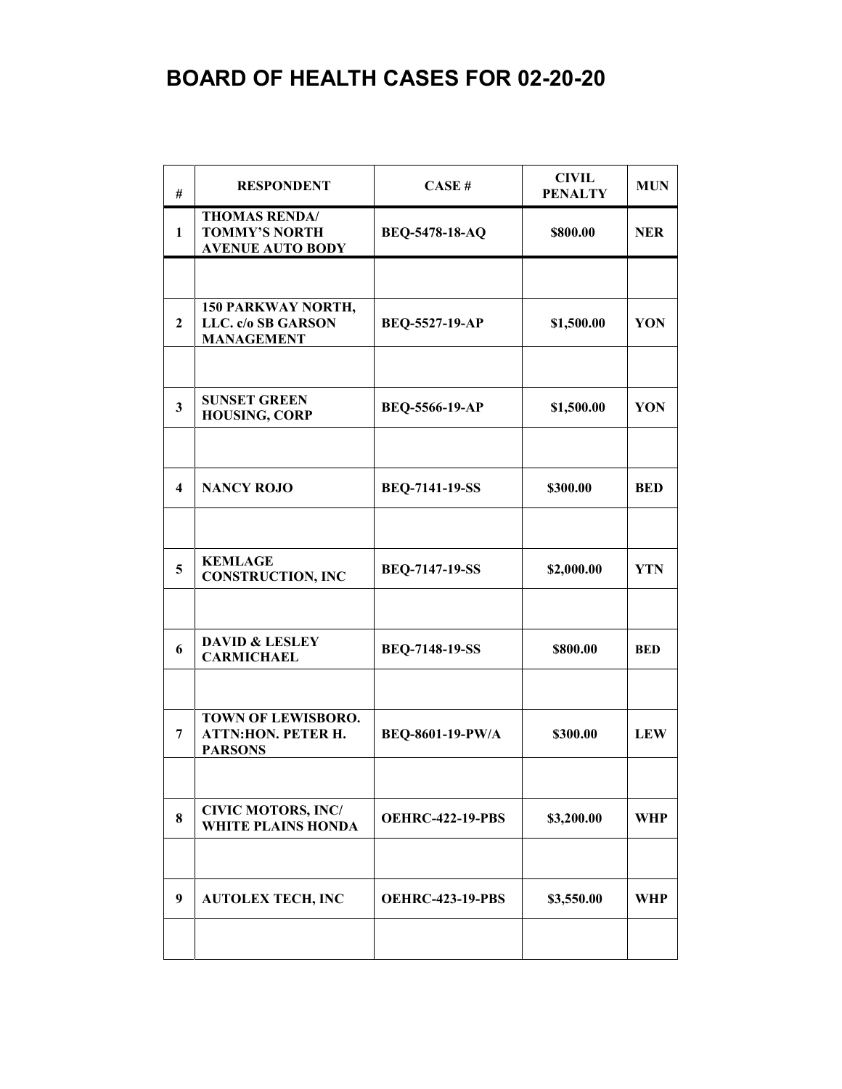## **BOARD OF HEALTH CASES FOR 02-20-20**

| #                       | <b>RESPONDENT</b>                                                       | CASE#                   | <b>CIVIL</b><br><b>PENALTY</b> | <b>MUN</b> |
|-------------------------|-------------------------------------------------------------------------|-------------------------|--------------------------------|------------|
| 1                       | <b>THOMAS RENDA/</b><br><b>TOMMY'S NORTH</b><br><b>AVENUE AUTO BODY</b> | BEQ-5478-18-AQ          | \$800.00                       | <b>NER</b> |
|                         |                                                                         |                         |                                |            |
| $\mathbf{2}$            | 150 PARKWAY NORTH,<br>LLC. c/o SB GARSON<br><b>MANAGEMENT</b>           | <b>BEQ-5527-19-AP</b>   | \$1,500.00                     | YON        |
|                         |                                                                         |                         |                                |            |
| $\mathbf{3}$            | <b>SUNSET GREEN</b><br><b>HOUSING, CORP</b>                             | <b>BEQ-5566-19-AP</b>   | \$1,500.00                     | YON        |
|                         |                                                                         |                         |                                |            |
| $\overline{\mathbf{4}}$ | <b>NANCY ROJO</b>                                                       | <b>BEQ-7141-19-SS</b>   | \$300.00                       | <b>BED</b> |
|                         |                                                                         |                         |                                |            |
| 5                       | <b>KEMLAGE</b><br><b>CONSTRUCTION, INC</b>                              | <b>BEQ-7147-19-SS</b>   | \$2,000.00                     | <b>YTN</b> |
|                         |                                                                         |                         |                                |            |
| 6                       | <b>DAVID &amp; LESLEY</b><br><b>CARMICHAEL</b>                          | <b>BEQ-7148-19-SS</b>   | \$800.00                       | <b>BED</b> |
|                         |                                                                         |                         |                                |            |
| 7                       | TOWN OF LEWISBORO.<br><b>ATTN:HON. PETER H.</b><br><b>PARSONS</b>       | BEQ-8601-19-PW/A        | \$300.00                       | <b>LEW</b> |
|                         |                                                                         |                         |                                |            |
| 8                       | <b>CIVIC MOTORS, INC/</b><br><b>WHITE PLAINS HONDA</b>                  | <b>OEHRC-422-19-PBS</b> | \$3,200.00                     | WHP        |
|                         |                                                                         |                         |                                |            |
| 9                       | <b>AUTOLEX TECH, INC</b>                                                | <b>OEHRC-423-19-PBS</b> | \$3,550.00                     | WHP        |
|                         |                                                                         |                         |                                |            |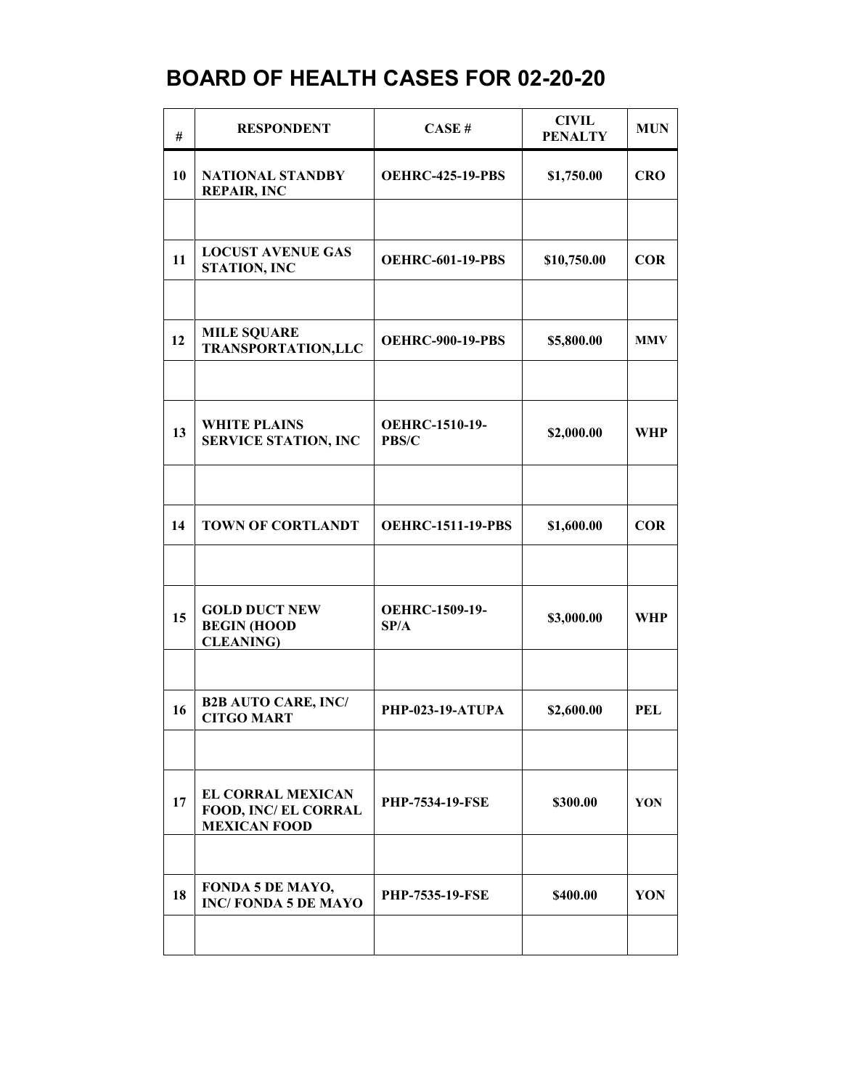## **BOARD OF HEALTH CASES FOR 02-20-20**

| #  | <b>RESPONDENT</b>                                                       | CASE#                                 | <b>CIVIL</b><br><b>PENALTY</b> | <b>MUN</b> |
|----|-------------------------------------------------------------------------|---------------------------------------|--------------------------------|------------|
| 10 | <b>NATIONAL STANDBY</b><br><b>REPAIR, INC</b>                           | <b>OEHRC-425-19-PBS</b>               | \$1,750.00                     | <b>CRO</b> |
|    |                                                                         |                                       |                                |            |
| 11 | <b>LOCUST AVENUE GAS</b><br><b>STATION, INC</b>                         | <b>OEHRC-601-19-PBS</b>               | \$10,750.00                    | <b>COR</b> |
|    |                                                                         |                                       |                                |            |
| 12 | <b>MILE SQUARE</b><br><b>TRANSPORTATION,LLC</b>                         | <b>OEHRC-900-19-PBS</b>               | \$5,800.00                     | <b>MMV</b> |
|    |                                                                         |                                       |                                |            |
| 13 | <b>WHITE PLAINS</b><br><b>SERVICE STATION, INC</b>                      | <b>OEHRC-1510-19-</b><br><b>PBS/C</b> | \$2,000.00                     | <b>WHP</b> |
|    |                                                                         |                                       |                                |            |
| 14 | <b>TOWN OF CORTLANDT</b>                                                | <b>OEHRC-1511-19-PBS</b>              | \$1,600.00                     | <b>COR</b> |
|    |                                                                         |                                       |                                |            |
| 15 | <b>GOLD DUCT NEW</b><br><b>BEGIN (HOOD</b><br><b>CLEANING</b> )         | <b>OEHRC-1509-19-</b><br>SP/A         | \$3,000.00                     | <b>WHP</b> |
|    |                                                                         |                                       |                                |            |
| 16 | <b>B2B AUTO CARE, INC/</b><br><b>CITGO MART</b>                         | <b>PHP-023-19-ATUPA</b>               | \$2,600.00                     | <b>PEL</b> |
|    |                                                                         |                                       |                                |            |
| 17 | <b>EL CORRAL MEXICAN</b><br>FOOD, INC/ EL CORRAL<br><b>MEXICAN FOOD</b> | <b>PHP-7534-19-FSE</b>                | \$300.00                       | YON        |
|    |                                                                         |                                       |                                |            |
| 18 | FONDA 5 DE MAYO,<br><b>INC/FONDA 5 DE MAYO</b>                          | <b>PHP-7535-19-FSE</b>                | \$400.00                       | YON        |
|    |                                                                         |                                       |                                |            |